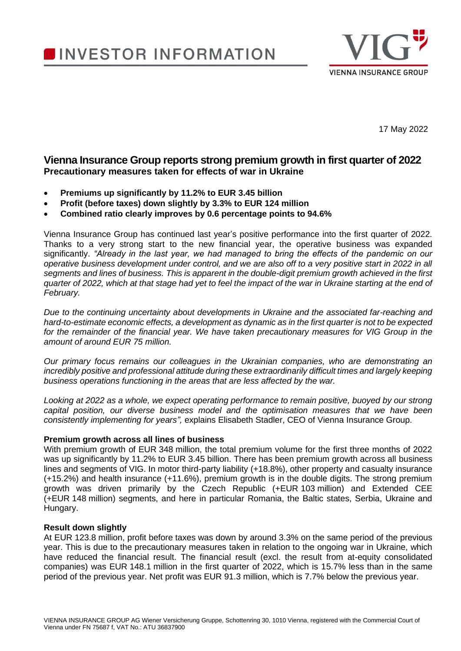# **INVESTOR INFORMATION**



17 May 2022

## **Vienna Insurance Group reports strong premium growth in first quarter of 2022 Precautionary measures taken for effects of war in Ukraine**

- **Premiums up significantly by 11.2% to EUR 3.45 billion**
- **Profit (before taxes) down slightly by 3.3% to EUR 124 million**
- **Combined ratio clearly improves by 0.6 percentage points to 94.6%**

Vienna Insurance Group has continued last year's positive performance into the first quarter of 2022. Thanks to a very strong start to the new financial year, the operative business was expanded significantly. *"Already in the last year, we had managed to bring the effects of the pandemic on our operative business development under control, and we are also off to a very positive start in 2022 in all segments and lines of business. This is apparent in the double-digit premium growth achieved in the first quarter of 2022, which at that stage had yet to feel the impact of the war in Ukraine starting at the end of February.*

*Due to the continuing uncertainty about developments in Ukraine and the associated far-reaching and hard-to-estimate economic effects, a development as dynamic as in the first quarter is not to be expected*  for the remainder of the financial year. We have taken precautionary measures for VIG Group in the *amount of around EUR 75 million.* 

*Our primary focus remains our colleagues in the Ukrainian companies, who are demonstrating an incredibly positive and professional attitude during these extraordinarily difficult times and largely keeping business operations functioning in the areas that are less affected by the war.* 

*Looking at 2022 as a whole, we expect operating performance to remain positive, buoyed by our strong capital position, our diverse business model and the optimisation measures that we have been consistently implementing for years",* explains Elisabeth Stadler, CEO of Vienna Insurance Group.

## **Premium growth across all lines of business**

With premium growth of EUR 348 million, the total premium volume for the first three months of 2022 was up significantly by 11.2% to EUR 3.45 billion. There has been premium growth across all business lines and segments of VIG. In motor third-party liability (+18.8%), other property and casualty insurance (+15.2%) and health insurance (+11.6%), premium growth is in the double digits. The strong premium growth was driven primarily by the Czech Republic (+EUR 103 million) and Extended CEE (+EUR 148 million) segments, and here in particular Romania, the Baltic states, Serbia, Ukraine and Hungary.

## **Result down slightly**

At EUR 123.8 million, profit before taxes was down by around 3.3% on the same period of the previous year. This is due to the precautionary measures taken in relation to the ongoing war in Ukraine, which have reduced the financial result. The financial result (excl. the result from at-equity consolidated companies) was EUR 148.1 million in the first quarter of 2022, which is 15.7% less than in the same period of the previous year. Net profit was EUR 91.3 million, which is 7.7% below the previous year.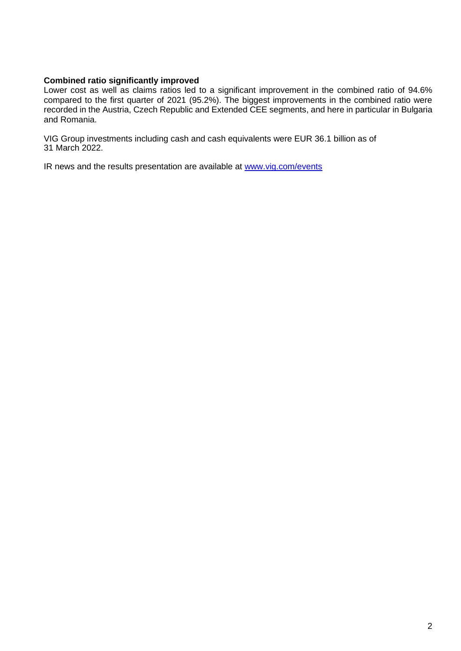## **Combined ratio significantly improved**

Lower cost as well as claims ratios led to a significant improvement in the combined ratio of 94.6% compared to the first quarter of 2021 (95.2%). The biggest improvements in the combined ratio were recorded in the Austria, Czech Republic and Extended CEE segments, and here in particular in Bulgaria and Romania.

VIG Group investments including cash and cash equivalents were EUR 36.1 billion as of 31 March 2022.

IR news and the results presentation are available at [www.vig.com/events](http://www.vig.com/events)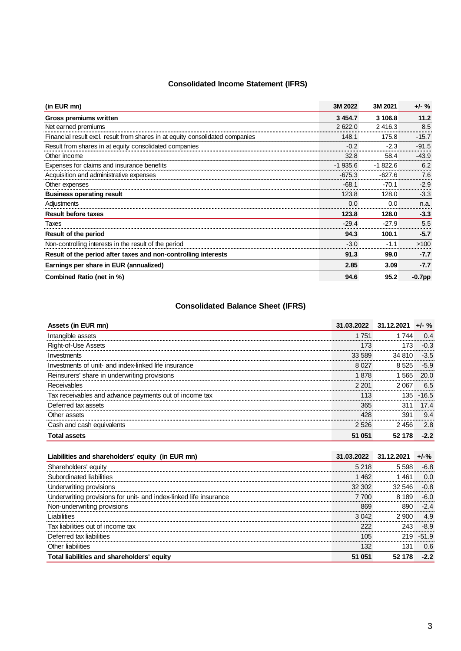## **Consolidated Income Statement (IFRS)**

| (in EUR mn)                                                                   | 3M 2022   | 3M 2021   | $+/-$ %   |
|-------------------------------------------------------------------------------|-----------|-----------|-----------|
| Gross premiums written                                                        | 3 4 5 4.7 | 3 106.8   | 11.2      |
| Net earned premiums                                                           | 2622.0    | 2416.3    | 8.5       |
| Financial result excl. result from shares in at equity consolidated companies | 148.1     | 175.8     | $-15.7$   |
| Result from shares in at equity consolidated companies                        | $-0.2$    | $-2.3$    | $-91.5$   |
| Other income                                                                  | 32.8      | 58.4      | $-43.9$   |
| Expenses for claims and insurance benefits                                    | $-1935.6$ | $-1822.6$ | 6.2       |
| Acquisition and administrative expenses                                       | $-675.3$  | $-627.6$  | 7.6       |
| Other expenses                                                                | $-68.1$   | $-70.1$   | $-2.9$    |
| <b>Business operating result</b>                                              | 123.8     | 128.0     | $-3.3$    |
| Adjustments                                                                   | 0.0       | 0.0       | n.a.      |
| <b>Result before taxes</b>                                                    | 123.8     | 128.0     | $-3.3$    |
| Taxes                                                                         | $-29.4$   | $-27.9$   | 5.5       |
| Result of the period                                                          | 94.3      | 100.1     | $-5.7$    |
| Non-controlling interests in the result of the period                         | $-3.0$    | $-11$     | >100      |
| Result of the period after taxes and non-controlling interests                | 91.3      | 99.0      | $-7.7$    |
| Earnings per share in EUR (annualized)                                        | 2.85      | 3.09      | $-7.7$    |
| Combined Ratio (net in %)                                                     | 94.6      | 95.2      | $-0.7$ pp |

## **Consolidated Balance Sheet (IFRS)**

| Assets (in EUR mn)                                     | 31.03.2022 31.12.2021 |         | $+/-$ % |
|--------------------------------------------------------|-----------------------|---------|---------|
| Intangible assets                                      | 1 751                 | . 744   | 04      |
| Right-of-Use Assets                                    | 173                   | 173     | $-0.3$  |
| Investments                                            | 33.589                | 34 810  | $-3.5$  |
| Investments of unit- and index-linked life insurance   | 8.027                 | 8 5 2 5 | $-5.9$  |
| Reinsurers' share in underwriting provisions           | 1 878                 | 565     | 20.0    |
| Receivables                                            | 2.201                 | 2067    | 6.5     |
| Tax receivables and advance payments out of income tax | 113                   | 135.    | $-16.5$ |
| Deferred tax assets                                    | 365                   | 311     | 174     |
| Other assets                                           | 428                   | 391     | 9.4     |
| Cash and cash equivalents                              | 2 5 2 6               | 2456    | 2.8     |
| <b>Total assets</b>                                    | 51 051                | 52 178  | $-2.2$  |

| Liabilities and shareholders' equity (in EUR mn)                  | 31.03.2022 31.12.2021 |        | $+1 - %$ |
|-------------------------------------------------------------------|-----------------------|--------|----------|
| Shareholders' equity                                              | 5 218                 | 5.598  | -6.8     |
| Subordinated liabilities                                          | 1 462                 | -461   | 0.0      |
| Underwriting provisions                                           | 32 302                | 32.546 | $-0.8$   |
| Underwriting provisions for unit- and index-linked life insurance | 7 700                 | 8 189  | -6.0     |
| Non-underwriting provisions                                       | 869                   | 890    | $-2.4$   |
| I iabilities                                                      | 3.042                 | 2.900  | 49       |
| Tax liabilities out of income tax                                 |                       | 243    | $-8.9$   |
| Deferred tax liabilities                                          | 105                   | 219.   | $-51.9$  |
| Other liabilities                                                 | 132                   | 131    | 0.6      |
| Total liabilities and shareholders' equity                        | 51 051                | 52 178 | $-2.2$   |